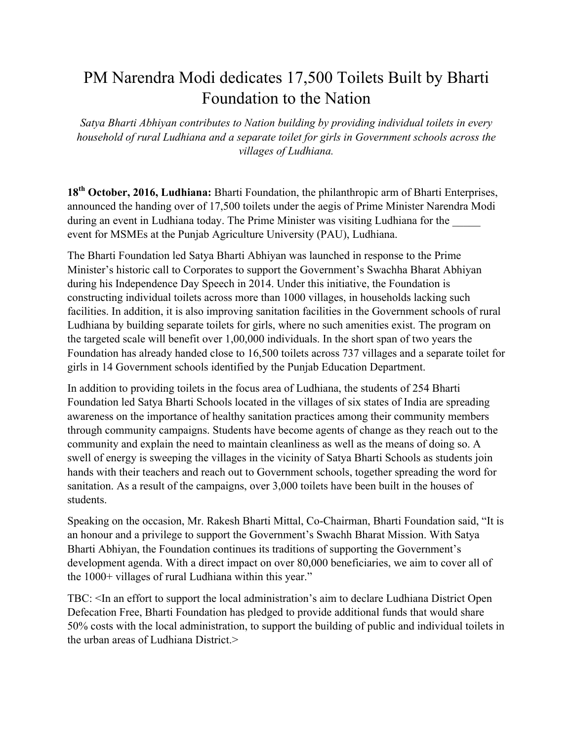## PM Narendra Modi dedicates 17,500 Toilets Built by Bharti Foundation to the Nation

*Satya Bharti Abhiyan contributes to Nation building by providing individual toilets in every household of rural Ludhiana and a separate toilet for girls in Government schools across the villages of Ludhiana.*

**18th October, 2016, Ludhiana:** Bharti Foundation, the philanthropic arm of Bharti Enterprises, announced the handing over of 17,500 toilets under the aegis of Prime Minister Narendra Modi during an event in Ludhiana today. The Prime Minister was visiting Ludhiana for the event for MSMEs at the Punjab Agriculture University (PAU), Ludhiana.

The Bharti Foundation led Satya Bharti Abhiyan was launched in response to the Prime Minister's historic call to Corporates to support the Government's Swachha Bharat Abhiyan during his Independence Day Speech in 2014. Under this initiative, the Foundation is constructing individual toilets across more than 1000 villages, in households lacking such facilities. In addition, it is also improving sanitation facilities in the Government schools of rural Ludhiana by building separate toilets for girls, where no such amenities exist. The program on the targeted scale will benefit over 1,00,000 individuals. In the short span of two years the Foundation has already handed close to 16,500 toilets across 737 villages and a separate toilet for girls in 14 Government schools identified by the Punjab Education Department.

In addition to providing toilets in the focus area of Ludhiana, the students of 254 Bharti Foundation led Satya Bharti Schools located in the villages of six states of India are spreading awareness on the importance of healthy sanitation practices among their community members through community campaigns. Students have become agents of change as they reach out to the community and explain the need to maintain cleanliness as well as the means of doing so. A swell of energy is sweeping the villages in the vicinity of Satya Bharti Schools as students join hands with their teachers and reach out to Government schools, together spreading the word for sanitation. As a result of the campaigns, over 3,000 toilets have been built in the houses of students.

Speaking on the occasion, Mr. Rakesh Bharti Mittal, Co-Chairman, Bharti Foundation said, "It is an honour and a privilege to support the Government's Swachh Bharat Mission. With Satya Bharti Abhiyan, the Foundation continues its traditions of supporting the Government's development agenda. With a direct impact on over 80,000 beneficiaries, we aim to cover all of the 1000+ villages of rural Ludhiana within this year."

TBC: <In an effort to support the local administration's aim to declare Ludhiana District Open Defecation Free, Bharti Foundation has pledged to provide additional funds that would share 50% costs with the local administration, to support the building of public and individual toilets in the urban areas of Ludhiana District $>$